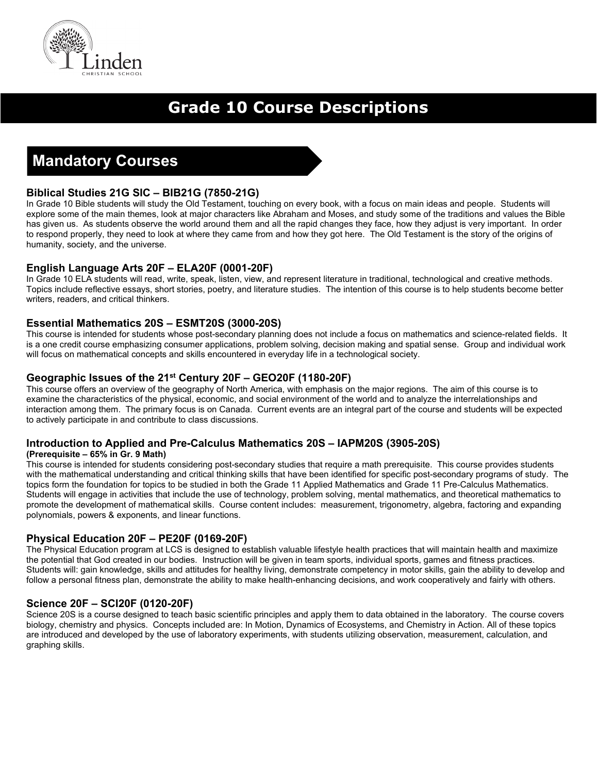

# **Grade 10 Course Descriptions**

# **Mandatory Courses**

# **Biblical Studies 21G SIC – BIB21G (7850-21G)**

In Grade 10 Bible students will study the Old Testament, touching on every book, with a focus on main ideas and people. Students will explore some of the main themes, look at major characters like Abraham and Moses, and study some of the traditions and values the Bible has given us. As students observe the world around them and all the rapid changes they face, how they adjust is very important. In order to respond properly, they need to look at where they came from and how they got here. The Old Testament is the story of the origins of humanity, society, and the universe.

## **English Language Arts 20F – ELA20F (0001-20F)**

In Grade 10 ELA students will read, write, speak, listen, view, and represent literature in traditional, technological and creative methods. Topics include reflective essays, short stories, poetry, and literature studies. The intention of this course is to help students become better writers, readers, and critical thinkers.

## **Essential Mathematics 20S – ESMT20S (3000-20S)**

This course is intended for students whose post-secondary planning does not include a focus on mathematics and science-related fields. It is a one credit course emphasizing consumer applications, problem solving, decision making and spatial sense. Group and individual work will focus on mathematical concepts and skills encountered in everyday life in a technological society.

## **Geographic Issues of the 21st Century 20F – GEO20F (1180-20F)**

This course offers an overview of the geography of North America, with emphasis on the major regions. The aim of this course is to examine the characteristics of the physical, economic, and social environment of the world and to analyze the interrelationships and interaction among them. The primary focus is on Canada. Current events are an integral part of the course and students will be expected to actively participate in and contribute to class discussions.

### **Introduction to Applied and Pre-Calculus Mathematics 20S – IAPM20S (3905-20S)**

#### **(Prerequisite – 65% in Gr. 9 Math)**

This course is intended for students considering post-secondary studies that require a math prerequisite. This course provides students with the mathematical understanding and critical thinking skills that have been identified for specific post-secondary programs of study. The topics form the foundation for topics to be studied in both the Grade 11 Applied Mathematics and Grade 11 Pre-Calculus Mathematics. Students will engage in activities that include the use of technology, problem solving, mental mathematics, and theoretical mathematics to promote the development of mathematical skills. Course content includes: measurement, trigonometry, algebra, factoring and expanding polynomials, powers & exponents, and linear functions.

### **Physical Education 20F – PE20F (0169-20F)**

The Physical Education program at LCS is designed to establish valuable lifestyle health practices that will maintain health and maximize the potential that God created in our bodies. Instruction will be given in team sports, individual sports, games and fitness practices. Students will: gain knowledge, skills and attitudes for healthy living, demonstrate competency in motor skills, gain the ability to develop and follow a personal fitness plan, demonstrate the ability to make health-enhancing decisions, and work cooperatively and fairly with others.

### **Science 20F – SCI20F (0120-20F)**

Science 20S is a course designed to teach basic scientific principles and apply them to data obtained in the laboratory. The course covers biology, chemistry and physics. Concepts included are: In Motion, Dynamics of Ecosystems, and Chemistry in Action. All of these topics are introduced and developed by the use of laboratory experiments, with students utilizing observation, measurement, calculation, and graphing skills.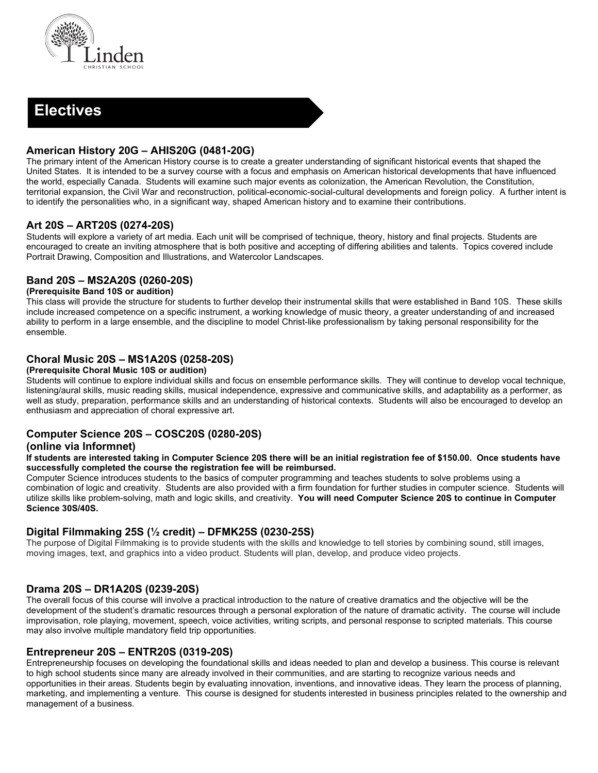

# **Electives**

### **American History 20G – AHIS20G (0481-20G)**

The primary intent of the American History course is to create a greater understanding of significant historical events that shaped the United States. It is intended to be a survey course with a focus and emphasis on American historical developments that have influenced the world, especially Canada. Students will examine such major events as colonization, the American Revolution, the Constitution, territorial expansion, the Civil War and reconstruction, political-economic-social-cultural developments and foreign policy. A further intent is to identify the personalities who, in a significant way, shaped American history and to examine their contributions.

## **Art 20S – ART20S (0274-20S)**

Students will explore a variety of art media. Each unit will be comprised of technique, theory, history and final projects. Students are encouraged to create an inviting atmosphere that is both positive and accepting of differing abilities and talents. Topics covered include Portrait Drawing, Composition and Illustrations, and Watercolor Landscapes.

### **Band 20S – MS2A20S (0260-20S)**

#### **(Prerequisite Band 10S or audition)**

This class will provide the structure for students to further develop their instrumental skills that were established in Band 10S. These skills include increased competence on a specific instrument, a working knowledge of music theory, a greater understanding of and increased ability to perform in a large ensemble, and the discipline to model Christ-like professionalism by taking personal responsibility for the ensemble.

### **Choral Music 20S – MS1A20S (0258-20S)**

#### **(Prerequisite Choral Music 10S or audition)**

Students will continue to explore individual skills and focus on ensemble performance skills. They will continue to develop vocal technique, listening/aural skills, music reading skills, musical independence, expressive and communicative skills, and adaptability as a performer, as well as study, preparation, performance skills and an understanding of historical contexts. Students will also be encouraged to develop an enthusiasm and appreciation of choral expressive art.

### **Computer Science 20S – COSC20S (0280-20S)**

#### **(online via Informnet)**

**If students are interested taking in Computer Science 20S there will be an initial registration fee of \$150.00. Once students have successfully completed the course the registration fee will be reimbursed.** 

Computer Science introduces students to the basics of computer programming and teaches students to solve problems using a combination of logic and creativity. Students are also provided with a firm foundation for further studies in computer science. Students will utilize skills like problem-solving, math and logic skills, and creativity. **You will need Computer Science 20S to continue in Computer Science 30S/40S.**

### **Digital Filmmaking 25S (½ credit) – DFMK25S (0230-25S)**

The purpose of Digital Filmmaking is to provide students with the skills and knowledge to tell stories by combining sound, still images, moving images, text, and graphics into a video product. Students will plan, develop, and produce video projects.

### **Drama 20S – DR1A20S (0239-20S)**

The overall focus of this course will involve a practical introduction to the nature of creative dramatics and the objective will be the development of the student's dramatic resources through a personal exploration of the nature of dramatic activity. The course will include improvisation, role playing, movement, speech, voice activities, writing scripts, and personal response to scripted materials. This course may also involve multiple mandatory field trip opportunities.

### **Entrepreneur 20S – ENTR20S (0319-20S)**

Entrepreneurship focuses on developing the foundational skills and ideas needed to plan and develop a business. This course is relevant to high school students since many are already involved in their communities, and are starting to recognize various needs and opportunities in their areas. Students begin by evaluating innovation, inventions, and innovative ideas. They learn the process of planning, marketing, and implementing a venture. This course is designed for students interested in business principles related to the ownership and management of a business.